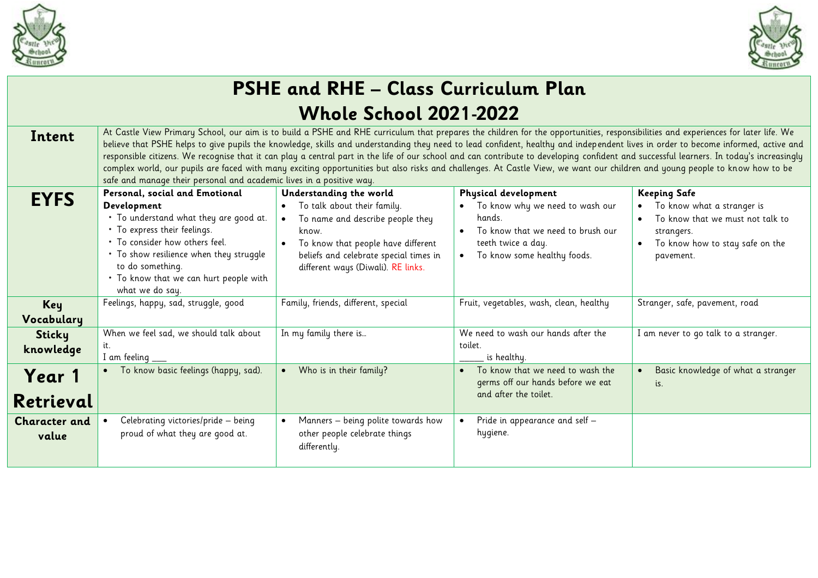



|                      |                                                                                                                                                                                                                                                                                                                                                                                                                                                                                                                                                                                                                                                                                                                                                                                                                            | <b>PSHE and RHE - Class Curriculum Plan</b>                                  |                                                                                    |                                                                |
|----------------------|----------------------------------------------------------------------------------------------------------------------------------------------------------------------------------------------------------------------------------------------------------------------------------------------------------------------------------------------------------------------------------------------------------------------------------------------------------------------------------------------------------------------------------------------------------------------------------------------------------------------------------------------------------------------------------------------------------------------------------------------------------------------------------------------------------------------------|------------------------------------------------------------------------------|------------------------------------------------------------------------------------|----------------------------------------------------------------|
|                      |                                                                                                                                                                                                                                                                                                                                                                                                                                                                                                                                                                                                                                                                                                                                                                                                                            | <b>Whole School 2021-2022</b>                                                |                                                                                    |                                                                |
| Intent               | At Castle View Primary School, our aim is to build a PSHE and RHE curriculum that prepares the children for the opportunities, responsibilities and experiences for later life. We<br>believe that PSHE helps to give pupils the knowledge, skills and understanding they need to lead confident, healthy and independent lives in order to become informed, active and<br>responsible citizens. We recognise that it can play a central part in the life of our school and can contribute to developing confident and successful learners. In today's increasingly<br>complex world, our pupils are faced with many exciting opportunities but also risks and challenges. At Castle View, we want our children and young people to know how to be<br>safe and manage their personal and academic lives in a positive way. |                                                                              |                                                                                    |                                                                |
| <b>EYFS</b>          | Personal, social and Emotional                                                                                                                                                                                                                                                                                                                                                                                                                                                                                                                                                                                                                                                                                                                                                                                             | Understanding the world                                                      | Physical development                                                               | <b>Keeping Safe</b>                                            |
|                      | Development<br>. To understand what they are good at.                                                                                                                                                                                                                                                                                                                                                                                                                                                                                                                                                                                                                                                                                                                                                                      | To talk about their family.<br>$\bullet$<br>To name and describe people they | To know why we need to wash our<br>$\bullet$<br>hands.                             | To know what a stranger is<br>To know that we must not talk to |
|                      | . To express their feelings.<br>. To consider how others feel.                                                                                                                                                                                                                                                                                                                                                                                                                                                                                                                                                                                                                                                                                                                                                             | know.                                                                        | To know that we need to brush our<br>$\bullet$                                     | strangers.                                                     |
|                      | . To show resilience when they struggle                                                                                                                                                                                                                                                                                                                                                                                                                                                                                                                                                                                                                                                                                                                                                                                    | To know that people have different<br>beliefs and celebrate special times in | teeth twice a day.<br>To know some healthy foods.<br>$\bullet$                     | To know how to stay safe on the<br>pavement.                   |
|                      | to do something.                                                                                                                                                                                                                                                                                                                                                                                                                                                                                                                                                                                                                                                                                                                                                                                                           | different ways (Diwali). RE links.                                           |                                                                                    |                                                                |
|                      | . To know that we can hurt people with<br>what we do say.                                                                                                                                                                                                                                                                                                                                                                                                                                                                                                                                                                                                                                                                                                                                                                  |                                                                              |                                                                                    |                                                                |
| Key                  | Feelings, happy, sad, struggle, good                                                                                                                                                                                                                                                                                                                                                                                                                                                                                                                                                                                                                                                                                                                                                                                       | Family, friends, different, special                                          | Fruit, vegetables, wash, clean, healthy                                            | Stranger, safe, pavement, road                                 |
| Vocabulary           |                                                                                                                                                                                                                                                                                                                                                                                                                                                                                                                                                                                                                                                                                                                                                                                                                            |                                                                              |                                                                                    |                                                                |
| Sticky               | When we feel sad, we should talk about                                                                                                                                                                                                                                                                                                                                                                                                                                                                                                                                                                                                                                                                                                                                                                                     | In my family there is                                                        | We need to wash our hands after the                                                | I am never to go talk to a stranger.                           |
| knowledge            | I am feeling                                                                                                                                                                                                                                                                                                                                                                                                                                                                                                                                                                                                                                                                                                                                                                                                               |                                                                              | toilet.<br>is healthy.                                                             |                                                                |
| Year 1               | To know basic feelings (happy, sad).                                                                                                                                                                                                                                                                                                                                                                                                                                                                                                                                                                                                                                                                                                                                                                                       | Who is in their family?<br>$\bullet$                                         | To know that we need to wash the<br>$\bullet$<br>germs off our hands before we eat | Basic knowledge of what a stranger<br>is.                      |
| Retrieval            |                                                                                                                                                                                                                                                                                                                                                                                                                                                                                                                                                                                                                                                                                                                                                                                                                            |                                                                              | and after the toilet.                                                              |                                                                |
| <b>Character and</b> | Celebrating victories/pride - being                                                                                                                                                                                                                                                                                                                                                                                                                                                                                                                                                                                                                                                                                                                                                                                        | Manners - being polite towards how<br>$\bullet$                              | Pride in appearance and self -                                                     |                                                                |
| value                | proud of what they are good at.                                                                                                                                                                                                                                                                                                                                                                                                                                                                                                                                                                                                                                                                                                                                                                                            | other people celebrate things<br>differently.                                | hygiene.                                                                           |                                                                |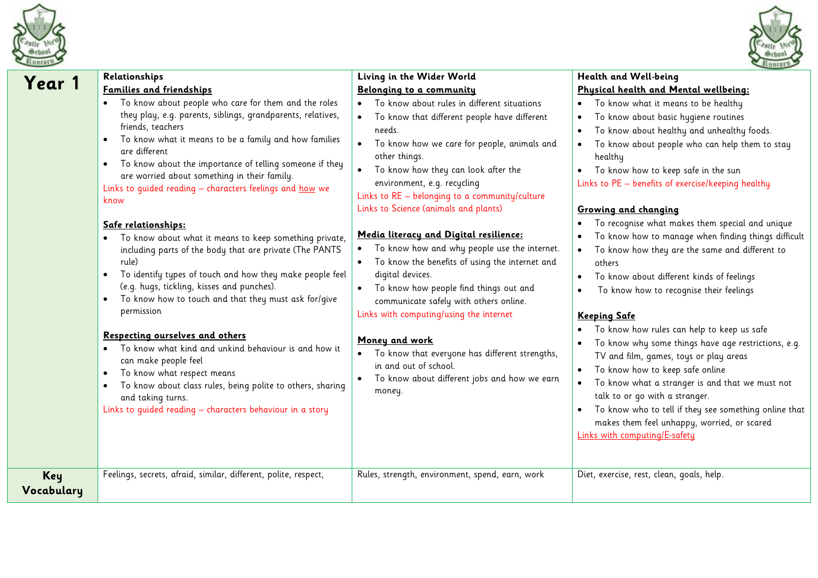



**Health and Well-being** 

|                   | Relationships                                                                                                                                                                                                                                                                                                                                                                                                               | Living in the Wider World                                                                                                                                                                                                                                                                                                 | Health and Well-being                                                                                                                                                                                                                                                                                                                                                                          |
|-------------------|-----------------------------------------------------------------------------------------------------------------------------------------------------------------------------------------------------------------------------------------------------------------------------------------------------------------------------------------------------------------------------------------------------------------------------|---------------------------------------------------------------------------------------------------------------------------------------------------------------------------------------------------------------------------------------------------------------------------------------------------------------------------|------------------------------------------------------------------------------------------------------------------------------------------------------------------------------------------------------------------------------------------------------------------------------------------------------------------------------------------------------------------------------------------------|
| Year 1            | Families and friendships                                                                                                                                                                                                                                                                                                                                                                                                    | Belonging to a community                                                                                                                                                                                                                                                                                                  | Physical health and Mental wellbeing:                                                                                                                                                                                                                                                                                                                                                          |
|                   | To know about people who care for them and the roles<br>they play, e.g. parents, siblings, grandparents, relatives,<br>friends, teachers<br>To know what it means to be a family and how families<br>$\bullet$<br>are different<br>To know about the importance of telling someone if they<br>$\bullet$<br>are worried about something in their family.<br>Links to quided reading - characters feelings and how we<br>know | To know about rules in different situations<br>To know that different people have different<br>needs.<br>To know how we care for people, animals and<br>$\bullet$<br>other things.<br>To know how they can look after the<br>$\bullet$<br>environment, e.g. recycling<br>Links to $RE - belonging to a community/culture$ | To know what it means to be healthy<br>To know about basic hygiene routines<br>To know about healthy and unhealthy foods.<br>To know about people who can help them to stay<br>healthy<br>To know how to keep safe in the sun<br>Links to PE - benefits of exercise/keeping healthy                                                                                                            |
|                   | Safe relationships:<br>To know about what it means to keep something private,<br>including parts of the body that are private (The PANTS<br>rule)<br>To identify types of touch and how they make people feel<br>$\bullet$<br>(e.g. hugs, tickling, kisses and punches).                                                                                                                                                    | Links to Science (animals and plants)<br>Media literacy and Digital resilience:<br>To know how and why people use the internet.<br>$\bullet$<br>To know the benefits of using the internet and<br>$\bullet$<br>digital devices.                                                                                           | Growing and changing<br>To recognise what makes them special and unique<br>To know how to manage when finding things difficult<br>To know how they are the same and different to<br>others<br>To know about different kinds of feelings                                                                                                                                                        |
|                   | To know how to touch and that they must ask for/qive<br>$\bullet$<br>permission<br>Respecting ourselves and others<br>To know what kind and unkind behaviour is and how it<br>can make people feel<br>To know what respect means<br>$\bullet$<br>To know about class rules, being polite to others, sharing<br>$\bullet$<br>and taking turns.<br>Links to quided reading - characters behaviour in a story                  | To know how people find things out and<br>$\bullet$<br>communicate safely with others online.<br>Links with computing/using the internet<br>Money and work<br>To know that everyone has different strengths,<br>in and out of school.<br>To know about different jobs and how we earn<br>money.                           | To know how to recognise their feelings<br><b>Keeping Safe</b><br>To know how rules can help to keep us safe<br>To know why some things have age restrictions, e.g.<br>TV and film, games, toys or play areas<br>To know how to keep safe online<br>To know what a stranger is and that we must not<br>talk to or go with a stranger.<br>To know who to tell if they see something online that |
| Key<br>Vocabulary | Feelings, secrets, afraid, similar, different, polite, respect,                                                                                                                                                                                                                                                                                                                                                             | Rules, strength, environment, spend, earn, work                                                                                                                                                                                                                                                                           | makes them feel unhappy, worried, or scared<br>Links with computing/E-safety<br>Diet, exercise, rest, clean, goals, help.                                                                                                                                                                                                                                                                      |
|                   |                                                                                                                                                                                                                                                                                                                                                                                                                             |                                                                                                                                                                                                                                                                                                                           |                                                                                                                                                                                                                                                                                                                                                                                                |

**Living in the Wider World**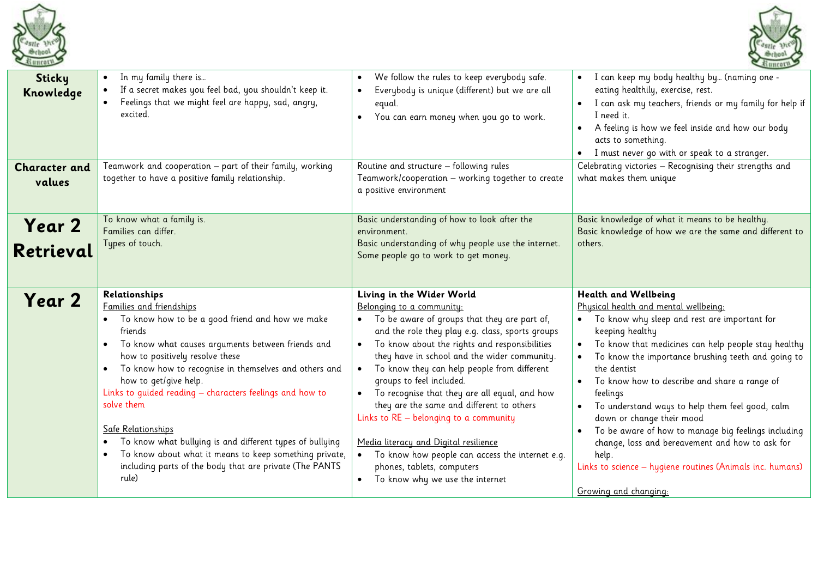



| <b>Sticky</b><br>Knowledge<br><b>Character and</b> | In my family there is<br>If a secret makes you feel bad, you shouldn't keep it.<br>Feelings that we might feel are happy, sad, angry,<br>excited.<br>Teamwork and cooperation - part of their family, working                                                                                                                                                                                                                                                                                                                                                               | We follow the rules to keep everybody safe.<br>$\bullet$<br>Everybody is unique (different) but we are all<br>equal.<br>You can earn money when you go to work.<br>$\bullet$<br>Routine and structure - following rules                                                                                                                                                                                                                                                                                                                                                                                                                                                            | I can keep my body healthy by (naming one -<br>eating healthily, exercise, rest.<br>I can ask my teachers, friends or my family for help if<br>I need it.<br>A feeling is how we feel inside and how our body<br>acts to something.<br>I must never go with or speak to a stranger.<br>Celebrating victories - Recognising their strengths and                                                                                                                                                                                                                                                                    |
|----------------------------------------------------|-----------------------------------------------------------------------------------------------------------------------------------------------------------------------------------------------------------------------------------------------------------------------------------------------------------------------------------------------------------------------------------------------------------------------------------------------------------------------------------------------------------------------------------------------------------------------------|------------------------------------------------------------------------------------------------------------------------------------------------------------------------------------------------------------------------------------------------------------------------------------------------------------------------------------------------------------------------------------------------------------------------------------------------------------------------------------------------------------------------------------------------------------------------------------------------------------------------------------------------------------------------------------|-------------------------------------------------------------------------------------------------------------------------------------------------------------------------------------------------------------------------------------------------------------------------------------------------------------------------------------------------------------------------------------------------------------------------------------------------------------------------------------------------------------------------------------------------------------------------------------------------------------------|
| values                                             | together to have a positive family relationship.                                                                                                                                                                                                                                                                                                                                                                                                                                                                                                                            | Teamwork/cooperation - working together to create<br>a positive environment                                                                                                                                                                                                                                                                                                                                                                                                                                                                                                                                                                                                        | what makes them unique                                                                                                                                                                                                                                                                                                                                                                                                                                                                                                                                                                                            |
| Year 2<br>Retrieval                                | To know what a family is.<br>Families can differ.<br>Types of touch.                                                                                                                                                                                                                                                                                                                                                                                                                                                                                                        | Basic understanding of how to look after the<br>environment.<br>Basic understanding of why people use the internet.<br>Some people go to work to get money.                                                                                                                                                                                                                                                                                                                                                                                                                                                                                                                        | Basic knowledge of what it means to be healthy.<br>Basic knowledge of how we are the same and different to<br>others.                                                                                                                                                                                                                                                                                                                                                                                                                                                                                             |
| Year 2                                             | Relationships<br>Families and friendships<br>To know how to be a good friend and how we make<br>friends<br>To know what causes arguments between friends and<br>how to positively resolve these<br>To know how to recognise in themselves and others and<br>how to get/give help.<br>Links to quided reading - characters feelings and how to<br>solve them<br>Safe Relationships<br>To know what bullying is and different types of bullying<br>To know about what it means to keep something private,<br>including parts of the body that are private (The PANTS<br>rule) | Living in the Wider World<br>Belonging to a community:<br>To be aware of groups that they are part of,<br>and the role they play e.g. class, sports groups<br>To know about the rights and responsibilities<br>$\bullet$<br>they have in school and the wider community.<br>To know they can help people from different<br>$\bullet$<br>groups to feel included.<br>To recognise that they are all equal, and how<br>they are the same and different to others<br>Links to RE - belonging to a community<br>Media literacy and Digital resilience<br>To know how people can access the internet e.g.<br>phones, tablets, computers<br>To know why we use the internet<br>$\bullet$ | Health and Wellbeing<br>Physical health and mental wellbeing:<br>To know why sleep and rest are important for<br>keeping healthy<br>To know that medicines can help people stay healthy<br>To know the importance brushing teeth and going to<br>the dentist<br>To know how to describe and share a range of<br>feelings<br>To understand ways to help them feel good, calm<br>down or change their mood<br>To be aware of how to manage big feelings including<br>change, loss and bereavement and how to ask for<br>help.<br>Links to science - hygiene routines (Animals inc. humans)<br>Growing and changing: |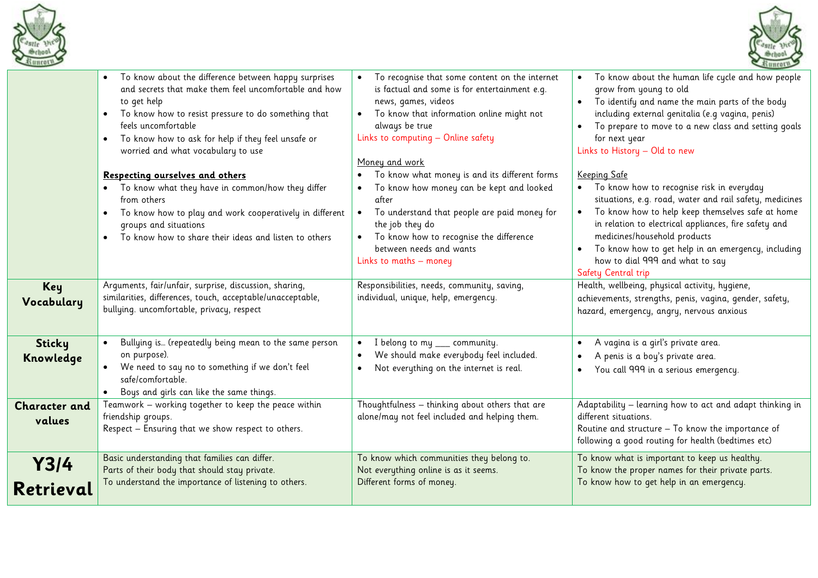



|                                | To know about the difference between happy surprises<br>and secrets that make them feel uncomfortable and how<br>to get help<br>To know how to resist pressure to do something that<br>$\bullet$<br>feels uncomfortable<br>To know how to ask for help if they feel unsafe or<br>$\bullet$<br>worried and what vocabulary to use<br>Respecting ourselves and others<br>. To know what they have in common/how they differ<br>from others<br>To know how to play and work cooperatively in different<br>groups and situations<br>To know how to share their ideas and listen to others | To recognise that some content on the internet<br>is factual and some is for entertainment e.g.<br>news, games, videos<br>To know that information online might not<br>always be true<br>Links to computing - Online safety<br>Money and work<br>To know what money is and its different forms<br>To know how money can be kept and looked<br>after<br>To understand that people are paid money for<br>the job they do<br>To know how to recognise the difference<br>between needs and wants<br>Links to maths - money | To know about the human life cycle and how people<br>grow from young to old<br>To identify and name the main parts of the body<br>including external genitalia (e.g vagina, penis)<br>To prepare to move to a new class and setting goals<br>for next year<br>Links to History - Old to new<br>Keeping Safe<br>To know how to recognise risk in everyday<br>situations, e.g. road, water and rail safety, medicines<br>To know how to help keep themselves safe at home<br>in relation to electrical appliances, fire safety and<br>medicines/household products<br>To know how to get help in an emergency, including<br>how to dial 999 and what to say<br>Safety Central trip |
|--------------------------------|---------------------------------------------------------------------------------------------------------------------------------------------------------------------------------------------------------------------------------------------------------------------------------------------------------------------------------------------------------------------------------------------------------------------------------------------------------------------------------------------------------------------------------------------------------------------------------------|------------------------------------------------------------------------------------------------------------------------------------------------------------------------------------------------------------------------------------------------------------------------------------------------------------------------------------------------------------------------------------------------------------------------------------------------------------------------------------------------------------------------|----------------------------------------------------------------------------------------------------------------------------------------------------------------------------------------------------------------------------------------------------------------------------------------------------------------------------------------------------------------------------------------------------------------------------------------------------------------------------------------------------------------------------------------------------------------------------------------------------------------------------------------------------------------------------------|
| Key<br>Vocabulary              | Arguments, fair/unfair, surprise, discussion, sharing,<br>similarities, differences, touch, acceptable/unacceptable,<br>bullying. uncomfortable, privacy, respect                                                                                                                                                                                                                                                                                                                                                                                                                     | Responsibilities, needs, community, saving,<br>individual, unique, help, emergency.                                                                                                                                                                                                                                                                                                                                                                                                                                    | Health, wellbeing, physical activity, hygiene,<br>achievements, strengths, penis, vagina, gender, safety,<br>hazard, emergency, angry, nervous anxious                                                                                                                                                                                                                                                                                                                                                                                                                                                                                                                           |
| <b>Sticky</b><br>Knowledge     | Bullying is (repeatedly being mean to the same person<br>on purpose).<br>We need to say no to something if we don't feel<br>safe/comfortable.<br>Boys and girls can like the same things.                                                                                                                                                                                                                                                                                                                                                                                             | I belong to my ___ community.<br>We should make everybody feel included.<br>Not everything on the internet is real.                                                                                                                                                                                                                                                                                                                                                                                                    | A vagina is a girl's private area.<br>A penis is a boy's private area.<br>You call 999 in a serious emergency.                                                                                                                                                                                                                                                                                                                                                                                                                                                                                                                                                                   |
| <b>Character and</b><br>values | Teamwork - working together to keep the peace within<br>friendship groups.<br>Respect - Ensuring that we show respect to others.                                                                                                                                                                                                                                                                                                                                                                                                                                                      | Thoughtfulness - thinking about others that are<br>alone/may not feel included and helping them.                                                                                                                                                                                                                                                                                                                                                                                                                       | Adaptability - learning how to act and adapt thinking in<br>different situations.<br>Routine and structure - To know the importance of<br>following a good routing for health (bedtimes etc)                                                                                                                                                                                                                                                                                                                                                                                                                                                                                     |
| Y3/4<br>Retrieval              | Basic understanding that families can differ.<br>Parts of their body that should stay private.<br>To understand the importance of listening to others.                                                                                                                                                                                                                                                                                                                                                                                                                                | To know which communities they belong to.<br>Not everything online is as it seems.<br>Different forms of money.                                                                                                                                                                                                                                                                                                                                                                                                        | To know what is important to keep us healthy.<br>To know the proper names for their private parts.<br>To know how to get help in an emergency.                                                                                                                                                                                                                                                                                                                                                                                                                                                                                                                                   |
|                                |                                                                                                                                                                                                                                                                                                                                                                                                                                                                                                                                                                                       |                                                                                                                                                                                                                                                                                                                                                                                                                                                                                                                        |                                                                                                                                                                                                                                                                                                                                                                                                                                                                                                                                                                                                                                                                                  |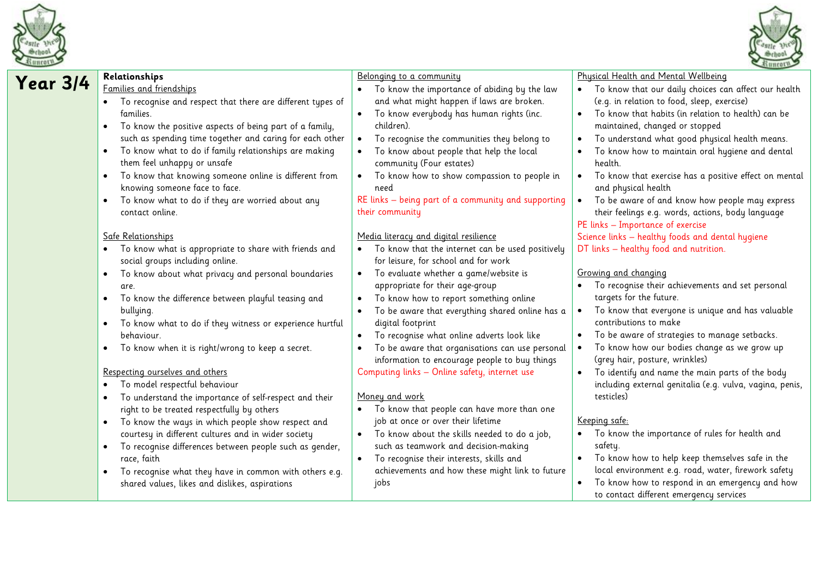



| Year 3/4 | Relationships                                                         | Belonging to a community                                     | Physical Health and Mental Wellbeing                                                      |
|----------|-----------------------------------------------------------------------|--------------------------------------------------------------|-------------------------------------------------------------------------------------------|
|          | Families and friendships                                              | • To know the importance of abiding by the law               | To know that our daily choices can affect our health                                      |
|          | To recognise and respect that there are different types of            | and what might happen if laws are broken.                    | (e.g. in relation to food, sleep, exercise)                                               |
|          | families.                                                             | To know everybody has human rights (inc.<br>$\bullet$        | To know that habits (in relation to health) can be                                        |
|          | To know the positive aspects of being part of a family,<br>$\bullet$  | children).                                                   | maintained, changed or stopped                                                            |
|          | such as spending time together and caring for each other              | To recognise the communities they belong to<br>$\bullet$     | To understand what good physical health means.<br>$\bullet$                               |
|          | To know what to do if family relationships are making<br>$\bullet$    | To know about people that help the local                     | To know how to maintain oral hygiene and dental                                           |
|          | them feel unhappy or unsafe                                           | community (Four estates)                                     | health.                                                                                   |
|          | To know that knowing someone online is different from<br>$\bullet$    | To know how to show compassion to people in<br>$\bullet$     | To know that exercise has a positive effect on mental<br>$\bullet$                        |
|          | knowing someone face to face.                                         | need                                                         | and physical health                                                                       |
|          | To know what to do if they are worried about any<br>$\bullet$         | RE links - being part of a community and supporting          | To be aware of and know how people may express<br>$\bullet$                               |
|          | contact online.                                                       | their community                                              | their feelings e.g. words, actions, body language                                         |
|          |                                                                       |                                                              | PE links - Importance of exercise                                                         |
|          | Safe Relationships                                                    | Media literacy and digital resilience                        | Science links - healthy foods and dental hygiene                                          |
|          | To know what is appropriate to share with friends and<br>$\bullet$    | • To know that the internet can be used positively           | DT links - healthy food and nutrition.                                                    |
|          | social groups including online.                                       | for leisure, for school and for work                         |                                                                                           |
|          | To know about what privacy and personal boundaries<br>$\bullet$       | To evaluate whether a game/website is<br>$\bullet$           | Growing and changing                                                                      |
|          | are.                                                                  | appropriate for their age-group                              | To recognise their achievements and set personal                                          |
|          | To know the difference between playful teasing and<br>$\bullet$       | To know how to report something online<br>$\bullet$          | targets for the future.                                                                   |
|          | bullying.                                                             | To be aware that everything shared online has a<br>$\bullet$ | To know that everyone is unique and has valuable                                          |
|          | To know what to do if they witness or experience hurtful<br>$\bullet$ | digital footprint                                            | contributions to make                                                                     |
|          | behaviour.                                                            | To recognise what online adverts look like                   | To be aware of strategies to manage setbacks.<br>$\bullet$                                |
|          | To know when it is right/wrong to keep a secret.<br>$\bullet$         | To be aware that organisations can use personal              | To know how our bodies change as we grow up                                               |
|          |                                                                       | information to encourage people to buy things                | (grey hair, posture, wrinkles)                                                            |
|          | Respecting ourselves and others                                       | Computing links - Online safety, internet use                | To identify and name the main parts of the body<br>$\bullet$                              |
|          | To model respectful behaviour<br>$\bullet$                            |                                                              | including external genitalia (e.g. vulva, vagina, penis,                                  |
|          | To understand the importance of self-respect and their<br>$\bullet$   | Money and work                                               | testicles)                                                                                |
|          | right to be treated respectfully by others                            | • To know that people can have more than one                 |                                                                                           |
|          | To know the ways in which people show respect and<br>$\bullet$        | job at once or over their lifetime                           | Keeping safe:                                                                             |
|          | courtesy in different cultures and in wider society                   | • To know about the skills needed to do a job,               | To know the importance of rules for health and                                            |
|          | To recognise differences between people such as gender,<br>$\bullet$  | such as teamwork and decision-making                         | safety.                                                                                   |
|          | race, faith                                                           | To recognise their interests, skills and<br>$\bullet$        | To know how to help keep themselves safe in the                                           |
|          | To recognise what they have in common with others e.g.<br>$\bullet$   | achievements and how these might link to future              | local environment e.g. road, water, firework safety                                       |
|          | shared values, likes and dislikes, aspirations                        | jobs                                                         | To know how to respond in an emergency and how<br>to contact different emergency services |
|          |                                                                       |                                                              |                                                                                           |
|          |                                                                       |                                                              |                                                                                           |
|          |                                                                       |                                                              |                                                                                           |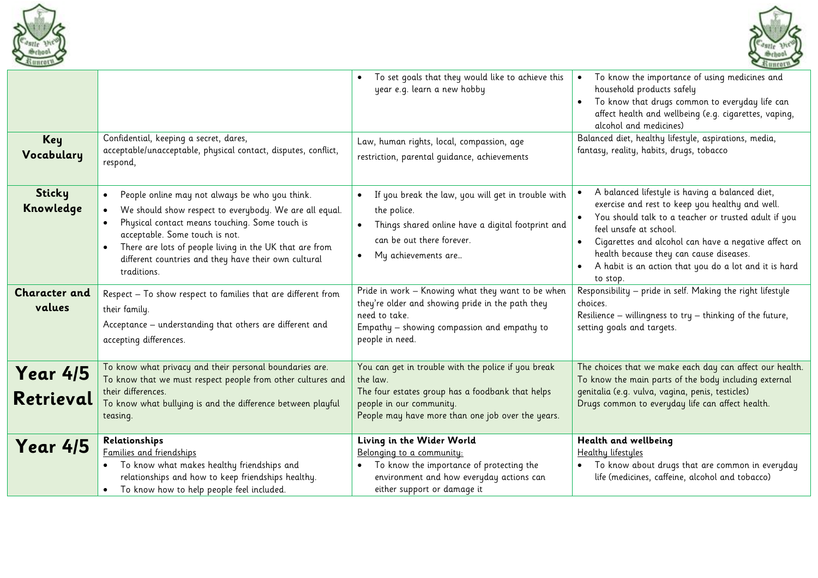



|                                |                                                                                                                                                                                                                                                                                                                                | To set goals that they would like to achieve this<br>$\bullet$<br>year e.g. learn a new hobby                                                                                                        | To know the importance of using medicines and<br>household products safely<br>To know that drugs common to everyday life can<br>affect health and wellbeing (e.g. cigarettes, vaping,<br>alcohol and medicines)                                                                                                                                              |
|--------------------------------|--------------------------------------------------------------------------------------------------------------------------------------------------------------------------------------------------------------------------------------------------------------------------------------------------------------------------------|------------------------------------------------------------------------------------------------------------------------------------------------------------------------------------------------------|--------------------------------------------------------------------------------------------------------------------------------------------------------------------------------------------------------------------------------------------------------------------------------------------------------------------------------------------------------------|
| Key<br>Vocabulary              | Confidential, keeping a secret, dares,<br>acceptable/unacceptable, physical contact, disputes, conflict,<br>respond,                                                                                                                                                                                                           | Law, human rights, local, compassion, age<br>restriction, parental quidance, achievements                                                                                                            | Balanced diet, healthy lifestyle, aspirations, media,<br>fantasy, reality, habits, drugs, tobacco                                                                                                                                                                                                                                                            |
| <b>Sticky</b><br>Knowledge     | People online may not always be who you think.<br>We should show respect to everybody. We are all equal.<br>Physical contact means touching. Some touch is<br>acceptable. Some touch is not.<br>There are lots of people living in the UK that are from<br>different countries and they have their own cultural<br>traditions. | If you break the law, you will get in trouble with<br>the police.<br>Things shared online have a digital footprint and<br>$\bullet$<br>can be out there forever.<br>My achievements are<br>$\bullet$ | A balanced lifestyle is having a balanced diet,<br>exercise and rest to keep you healthy and well.<br>You should talk to a teacher or trusted adult if you<br>feel unsafe at school.<br>Cigarettes and alcohol can have a negative affect on<br>health because they can cause diseases.<br>A habit is an action that you do a lot and it is hard<br>to stop. |
| <b>Character and</b><br>values | Respect - To show respect to families that are different from<br>their family.<br>Acceptance - understanding that others are different and<br>accepting differences.                                                                                                                                                           | Pride in work - Knowing what they want to be when<br>they're older and showing pride in the path they<br>need to take.<br>Empathy - showing compassion and empathy to<br>people in need.             | Responsibility - pride in self. Making the right lifestyle<br>choices.<br>Resilience – willingness to try – thinking of the future,<br>setting goals and targets.                                                                                                                                                                                            |
| <b>Year 4/5</b><br>Retrieval   | To know what privacy and their personal boundaries are.<br>To know that we must respect people from other cultures and<br>their differences.<br>To know what bullying is and the difference between playful<br>teasing.                                                                                                        | You can get in trouble with the police if you break<br>the law.<br>The four estates group has a foodbank that helps<br>people in our community.<br>People may have more than one job over the years. | The choices that we make each day can affect our health.<br>To know the main parts of the body including external<br>genitalia (e.g. vulva, vagina, penis, testicles)<br>Drugs common to everyday life can affect health.                                                                                                                                    |
| <b>Year 4/5</b>                | Relationships<br>Families and friendships<br>. To know what makes healthy friendships and<br>relationships and how to keep friendships healthy.<br>• To know how to help people feel included.                                                                                                                                 | Living in the Wider World<br>Belonging to a community:<br>To know the importance of protecting the<br>environment and how everyday actions can<br>either support or damage it                        | Health and wellbeing<br>Healthy lifestyles<br>To know about drugs that are common in everyday<br>life (medicines, caffeine, alcohol and tobacco)                                                                                                                                                                                                             |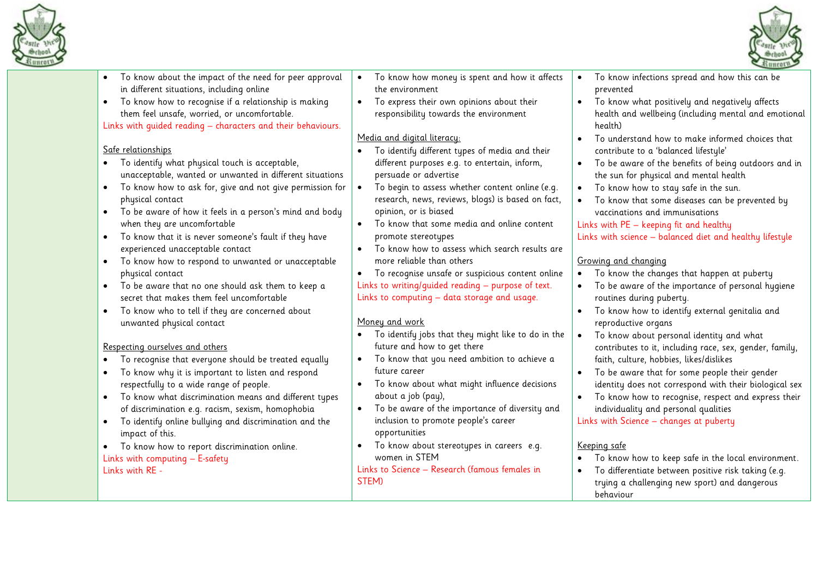



|                                                                                                                                                                                                                                                                                                                                                                                                                                                                                                                                                                                                                                                                                                                                                                                                                                                                                                                                                                                                                                                                                                                                                                                                                                                                                                                                                                    |                                                                                                                                                                                                                                                                                                                                                                                                                                                                                                                                                                                                                                                                                                                                                                                                                                                                                                                                                                                                                                                                                                                                                                                                                      | Runcern <sub>2</sub>                                                                                                                                                                                                                                                                                                                                                                                                                                                                                                                                                                                                                                                                                                                                                                                                                                                                                                                                                                                                                                                                                                                                                                                                                                                                                                                                                                     |
|--------------------------------------------------------------------------------------------------------------------------------------------------------------------------------------------------------------------------------------------------------------------------------------------------------------------------------------------------------------------------------------------------------------------------------------------------------------------------------------------------------------------------------------------------------------------------------------------------------------------------------------------------------------------------------------------------------------------------------------------------------------------------------------------------------------------------------------------------------------------------------------------------------------------------------------------------------------------------------------------------------------------------------------------------------------------------------------------------------------------------------------------------------------------------------------------------------------------------------------------------------------------------------------------------------------------------------------------------------------------|----------------------------------------------------------------------------------------------------------------------------------------------------------------------------------------------------------------------------------------------------------------------------------------------------------------------------------------------------------------------------------------------------------------------------------------------------------------------------------------------------------------------------------------------------------------------------------------------------------------------------------------------------------------------------------------------------------------------------------------------------------------------------------------------------------------------------------------------------------------------------------------------------------------------------------------------------------------------------------------------------------------------------------------------------------------------------------------------------------------------------------------------------------------------------------------------------------------------|------------------------------------------------------------------------------------------------------------------------------------------------------------------------------------------------------------------------------------------------------------------------------------------------------------------------------------------------------------------------------------------------------------------------------------------------------------------------------------------------------------------------------------------------------------------------------------------------------------------------------------------------------------------------------------------------------------------------------------------------------------------------------------------------------------------------------------------------------------------------------------------------------------------------------------------------------------------------------------------------------------------------------------------------------------------------------------------------------------------------------------------------------------------------------------------------------------------------------------------------------------------------------------------------------------------------------------------------------------------------------------------|
| To know about the impact of the need for peer approval<br>in different situations, including online<br>To know how to recognise if a relationship is making<br>them feel unsafe, worried, or uncomfortable.<br>Links with quided reading - characters and their behaviours.<br>Safe relationships<br>To identify what physical touch is acceptable,<br>unacceptable, wanted or unwanted in different situations<br>To know how to ask for, give and not give permission for<br>physical contact<br>To be aware of how it feels in a person's mind and body<br>$\bullet$<br>when they are uncomfortable<br>To know that it is never someone's fault if they have<br>$\bullet$<br>experienced unacceptable contact<br>To know how to respond to unwanted or unacceptable<br>physical contact<br>To be aware that no one should ask them to keep a<br>secret that makes them feel uncomfortable<br>To know who to tell if they are concerned about<br>unwanted physical contact<br>Respecting ourselves and others<br>To recognise that everyone should be treated equally<br>To know why it is important to listen and respond<br>respectfully to a wide range of people.<br>To know what discrimination means and different types<br>of discrimination e.g. racism, sexism, homophobia<br>To identify online bullying and discrimination and the<br>impact of this. | To know how money is spent and how it affects<br>the environment<br>To express their own opinions about their<br>$\bullet$<br>responsibility towards the environment<br>Media and digital literacy:<br>To identify different types of media and their<br>different purposes e.g. to entertain, inform,<br>persuade or advertise<br>$\bullet$<br>To begin to assess whether content online (e.g.<br>research, news, reviews, blogs) is based on fact,<br>opinion, or is biased<br>To know that some media and online content<br>$\bullet$<br>promote stereotypes<br>To know how to assess which search results are<br>$\bullet$<br>more reliable than others<br>To recognise unsafe or suspicious content online<br>Links to writing/quided reading - purpose of text.<br>Links to computing - data storage and usage.<br>Money and work<br>To identify jobs that they might like to do in the<br>future and how to get there<br>To know that you need ambition to achieve a<br>$\bullet$<br>future career<br>To know about what might influence decisions<br>$\bullet$<br>about a job (pay),<br>To be aware of the importance of diversity and<br>$\bullet$<br>inclusion to promote people's career<br>opportunities | To know infections spread and how this can be<br>$\bullet$<br>prevented<br>To know what positively and negatively affects<br>health and wellbeing (including mental and emotional<br>health)<br>To understand how to make informed choices that<br>$\bullet$<br>contribute to a 'balanced lifestyle'<br>To be aware of the benefits of being outdoors and in<br>$\bullet$<br>the sun for physical and mental health<br>To know how to stay safe in the sun.<br>$\bullet$<br>To know that some diseases can be prevented by<br>$\bullet$<br>vaccinations and immunisations<br>Links with PE - keeping fit and healthy<br>Links with science - balanced diet and healthy lifestyle<br>Growing and changing<br>To know the changes that happen at puberty<br>$\bullet$<br>To be aware of the importance of personal hygiene<br>routines during puberty.<br>To know how to identify external genitalia and<br>$\bullet$<br>reproductive organs<br>To know about personal identity and what<br>$\bullet$<br>contributes to it, including race, sex, gender, family,<br>faith, culture, hobbies, likes/dislikes<br>To be aware that for some people their gender<br>$\bullet$<br>identity does not correspond with their biological sex<br>To know how to recognise, respect and express their<br>$\bullet$<br>individuality and personal qualities<br>Links with Science - changes at puberty |
| To know how to report discrimination online.<br>Links with computing - E-safety<br>Links with RE -                                                                                                                                                                                                                                                                                                                                                                                                                                                                                                                                                                                                                                                                                                                                                                                                                                                                                                                                                                                                                                                                                                                                                                                                                                                                 | To know about stereotypes in careers e.g.<br>women in STEM<br>Links to Science - Research (famous females in<br>STEM)                                                                                                                                                                                                                                                                                                                                                                                                                                                                                                                                                                                                                                                                                                                                                                                                                                                                                                                                                                                                                                                                                                | Keeping safe<br>To know how to keep safe in the local environment.<br>To differentiate between positive risk taking (e.g.<br>$\bullet$<br>trying a challenging new sport) and dangerous<br>behaviour                                                                                                                                                                                                                                                                                                                                                                                                                                                                                                                                                                                                                                                                                                                                                                                                                                                                                                                                                                                                                                                                                                                                                                                     |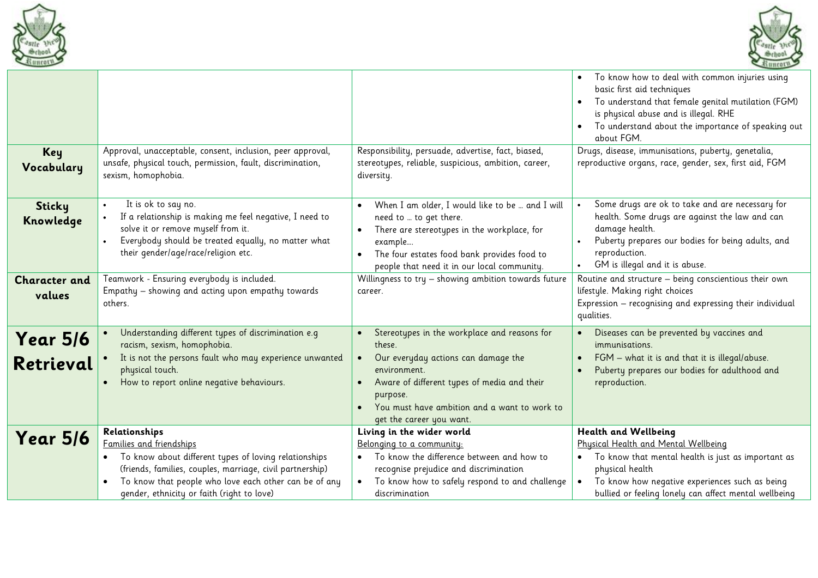



|                                |                                                                                                                                                                                                                                                                        |                                                                                                                                                                                                                                                      | To know how to deal with common injuries using<br>basic first aid techniques<br>To understand that female genital mutilation (FGM)<br>is physical abuse and is illegal. RHE<br>To understand about the importance of speaking out<br>about FGM.  |
|--------------------------------|------------------------------------------------------------------------------------------------------------------------------------------------------------------------------------------------------------------------------------------------------------------------|------------------------------------------------------------------------------------------------------------------------------------------------------------------------------------------------------------------------------------------------------|--------------------------------------------------------------------------------------------------------------------------------------------------------------------------------------------------------------------------------------------------|
| Key<br>Vocabulary              | Approval, unacceptable, consent, inclusion, peer approval,<br>unsafe, physical touch, permission, fault, discrimination,<br>sexism, homophobia.                                                                                                                        | Responsibility, persuade, advertise, fact, biased,<br>stereotypes, reliable, suspicious, ambition, career,<br>diversity.                                                                                                                             | Drugs, disease, immunisations, puberty, genetalia,<br>reproductive organs, race, gender, sex, first aid, FGM                                                                                                                                     |
| Sticky<br>Knowledge            | It is ok to say no.<br>If a relationship is making me feel negative, I need to<br>solve it or remove myself from it.<br>Everybody should be treated equally, no matter what<br>their gender/age/race/religion etc.                                                     | When I am older, I would like to be  and I will<br>$\bullet$<br>need to  to get there.<br>There are stereotypes in the workplace, for<br>example<br>The four estates food bank provides food to<br>people that need it in our local community.       | Some drugs are ok to take and are necessary for<br>health. Some drugs are against the law and can<br>damage health.<br>Puberty prepares our bodies for being adults, and<br>reproduction.<br>GM is illegal and it is abuse.                      |
| <b>Character and</b><br>values | Teamwork - Ensuring everybody is included.<br>Empathy - showing and acting upon empathy towards<br>others.                                                                                                                                                             | Willingness to try - showing ambition towards future<br>career.                                                                                                                                                                                      | Routine and structure - being conscientious their own<br>lifestyle. Making right choices<br>Expression - recognising and expressing their individual<br>qualities.                                                                               |
| <b>Year 5/6</b><br>Retrieval   | Understanding different types of discrimination e.g<br>racism, sexism, homophobia.<br>It is not the persons fault who may experience unwanted<br>physical touch.<br>How to report online negative behaviours.                                                          | Stereotypes in the workplace and reasons for<br>these.<br>Our everyday actions can damage the<br>environment.<br>Aware of different types of media and their<br>purpose.<br>You must have ambition and a want to work to<br>get the career you want. | Diseases can be prevented by vaccines and<br>immunisations.<br>FGM - what it is and that it is illegal/abuse.<br>Puberty prepares our bodies for adulthood and<br>reproduction.                                                                  |
| <b>Year 5/6</b>                | Relationships<br>Families and friendships<br>To know about different types of loving relationships<br>(friends, families, couples, marriage, civil partnership)<br>To know that people who love each other can be of any<br>gender, ethnicity or faith (right to love) | Living in the wider world<br>Belonging to a community:<br>To know the difference between and how to<br>$\bullet$<br>recognise prejudice and discrimination<br>To know how to safely respond to and challenge<br>discrimination                       | Health and Wellbeing<br>Physical Health and Mental Wellbeing<br>To know that mental health is just as important as<br>physical health<br>To know how negative experiences such as being<br>bullied or feeling lonely can affect mental wellbeing |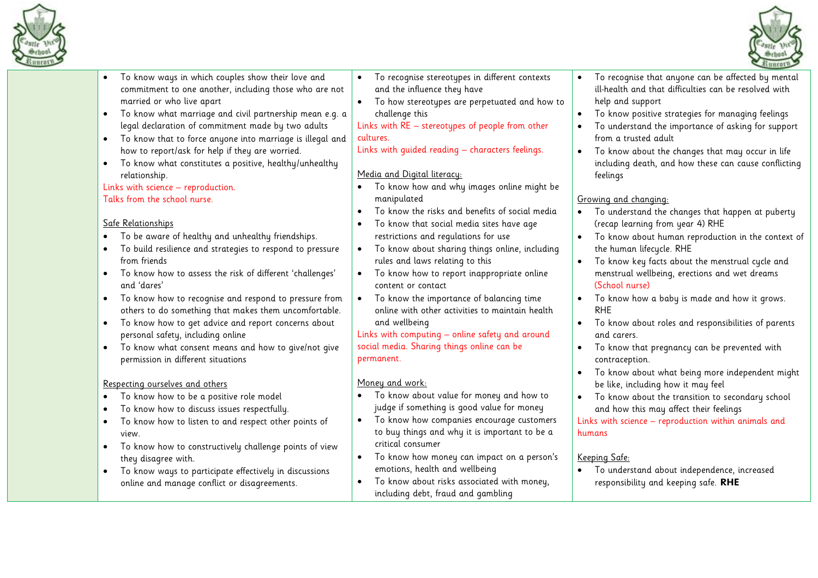

• To know ways in which couples show their love and



commitment to one another, including those who are not married or who live apart • To know what marriage and civil partnership mean e.g. a legal declaration of commitment made by two adults • To know that to force anyone into marriage is illegal and how to report/ask for help if they are worried. • To know what constitutes a positive, healthy/unhealthy relationship. Links with science – reproduction. Talks from the school nurse. Safe Relationships • To be aware of healthy and unhealthy friendships. • To build resilience and strategies to respond to pressure from friends • To know how to assess the risk of different 'challenges' and 'dares' • To know how to recognise and respond to pressure from others to do something that makes them uncomfortable. • To know how to get advice and report concerns about personal safety, including online • To know what consent means and how to give/not give permission in different situations Respecting ourselves and others • To know how to be a positive role model • To know how to discuss issues respectfully. To know how to listen to and respect other points of view. • To know how to constructively challenge points of view they disagree with. • To know ways to participate effectively in discussions online and manage conflict or disagreements. and the influence they have • To how stereotypes are perpetuated and how to challenge this Links with RE – stereotypes of people from other cultures. Links with guided reading – characters feelings. Media and Digital literacy: • To know how and why images online might be manipulated • To know the risks and benefits of social media • To know that social media sites have age restrictions and regulations for use • To know about sharing things online, including rules and laws relating to this • To know how to report inappropriate online content or contact • To know the importance of balancing time online with other activities to maintain health and wellbeing Links with computing – online safety and around social media. Sharing things online can be permanent. Moneu and work: • To know about value for money and how to judge if something is good value for money • To know how companies encourage customers to buy things and why it is important to be a critical consumer • To know how money can impact on a person's emotions, health and wellbeing • To know about risks associated with money, including debt, fraud and gambling ill-health and that difficulties can be resolved with help and support • To know positive strategies for managing feelings • To understand the importance of asking for support from a trusted adult • To know about the changes that may occur in life including death, and how these can cause conflicting feelings Growing and changing: • To understand the changes that happen at puberty (recap learning from year 4) RHE • To know about human reproduction in the context of the human lifecycle. RHE • To know key facts about the menstrual cycle and menstrual wellbeing, erections and wet dreams (School nurse) • To know how a baby is made and how it grows. RHE • To know about roles and responsibilities of parents and carers. • To know that pregnancy can be prevented with contraception. • To know about what being more independent might be like, including how it may feel • To know about the transition to secondary school and how this may affect their feelings Links with science – reproduction within animals and humans Keeping Safe: • To understand about independence, increased responsibility and keeping safe. **RHE**

• To recognise stereotypes in different contexts